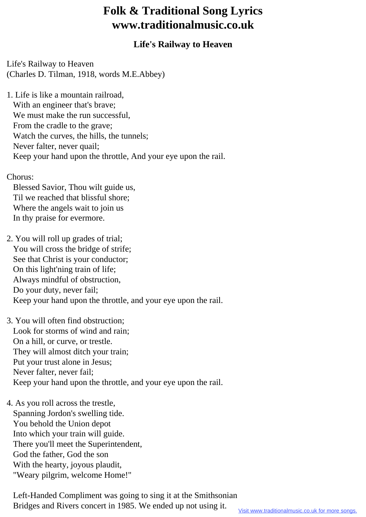## **Folk & Traditional Song Lyrics www.traditionalmusic.co.uk**

## **Life's Railway to Heaven**

Life's Railway to Heaven (Charles D. Tilman, 1918, words M.E.Abbey)

1. Life is like a mountain railroad, With an engineer that's brave; We must make the run successful, From the cradle to the grave; Watch the curves, the hills, the tunnels; Never falter, never quail; Keep your hand upon the throttle, And your eye upon the rail.

## Chorus:

 Blessed Savior, Thou wilt guide us, Til we reached that blissful shore; Where the angels wait to join us In thy praise for evermore.

2. You will roll up grades of trial; You will cross the bridge of strife; See that Christ is your conductor; On this light'ning train of life; Always mindful of obstruction, Do your duty, never fail; Keep your hand upon the throttle, and your eye upon the rail.

3. You will often find obstruction; Look for storms of wind and rain; On a hill, or curve, or trestle. They will almost ditch your train; Put your trust alone in Jesus; Never falter, never fail; Keep your hand upon the throttle, and your eye upon the rail.

4. As you roll across the trestle, Spanning Jordon's swelling tide. You behold the Union depot Into which your train will guide. There you'll meet the Superintendent, God the father, God the son With the hearty, joyous plaudit, "Weary pilgrim, welcome Home!"

 Left-Handed Compliment was going to sing it at the Smithsonian Bridges and Rivers concert in 1985. We ended up not using it.